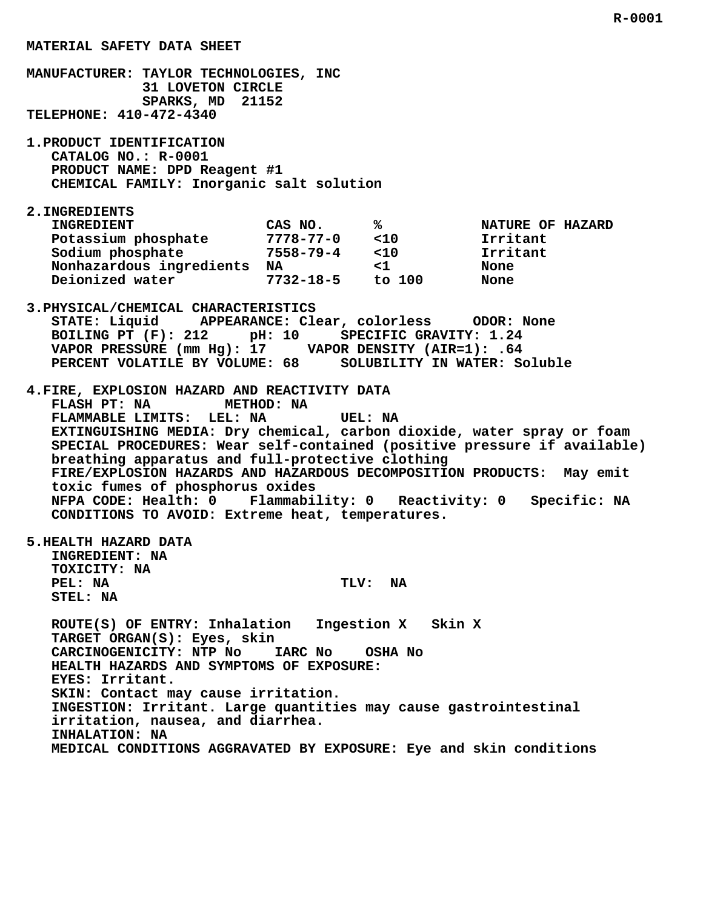**MATERIAL SAFETY DATA SHEET MANUFACTURER: TAYLOR TECHNOLOGIES, INC 31 LOVETON CIRCLE SPARKS, MD 21152 TELEPHONE: 410-472-4340 1.PRODUCT IDENTIFICATION CATALOG NO.: R-0001 PRODUCT NAME: DPD Reagent #1 CHEMICAL FAMILY: Inorganic salt solution 2.INGREDIENTS INGREDIENT CAS NO. % NATURE OF HAZARD** Potassium phosphate  $\begin{array}{ccc} 7778-77-0 & <10 \\ \text{Solution} & <20 \\ 7558-79-4 & <10 \\ \end{array}$  Irritant  **Sodium phosphate 7558-79-4 <10 Irritant Nonhazardous ingredients NA <1 None Deionized water 7732-18-5 to 100 None 3.PHYSICAL/CHEMICAL CHARACTERISTICS STATE: Liquid APPEARANCE: Clear, colorless ODOR: None BOILING PT (F): 212 pH: 10 SPECIFIC GRAVITY: 1.24 VAPOR PRESSURE (mm Hg): 17 VAPOR DENSITY (AIR=1): .64 PERCENT VOLATILE BY VOLUME: 68 SOLUBILITY IN WATER: Soluble 4.FIRE, EXPLOSION HAZARD AND REACTIVITY DATA FLASH PT: NA METHOD: NA FLAMMABLE LIMITS: LEL: NA UEL: NA EXTINGUISHING MEDIA: Dry chemical, carbon dioxide, water spray or foam SPECIAL PROCEDURES: Wear self-contained (positive pressure if available) breathing apparatus and full-protective clothing FIRE/EXPLOSION HAZARDS AND HAZARDOUS DECOMPOSITION PRODUCTS: May emit toxic fumes of phosphorus oxides**

 **NFPA CODE: Health: 0 Flammability: 0 Reactivity: 0 Specific: NA CONDITIONS TO AVOID: Extreme heat, temperatures.**

 **5.HEALTH HAZARD DATA**

 **INGREDIENT: NA TOXICITY: NA PEL: NA TLV: NA STEL: NA**

 **ROUTE(S) OF ENTRY: Inhalation Ingestion X Skin X TARGET ORGAN(S): Eyes, skin CARCINOGENICITY: NTP No IARC No OSHA No HEALTH HAZARDS AND SYMPTOMS OF EXPOSURE: EYES: Irritant. SKIN: Contact may cause irritation. INGESTION: Irritant. Large quantities may cause gastrointestinal irritation, nausea, and diarrhea. INHALATION: NA MEDICAL CONDITIONS AGGRAVATED BY EXPOSURE: Eye and skin conditions**